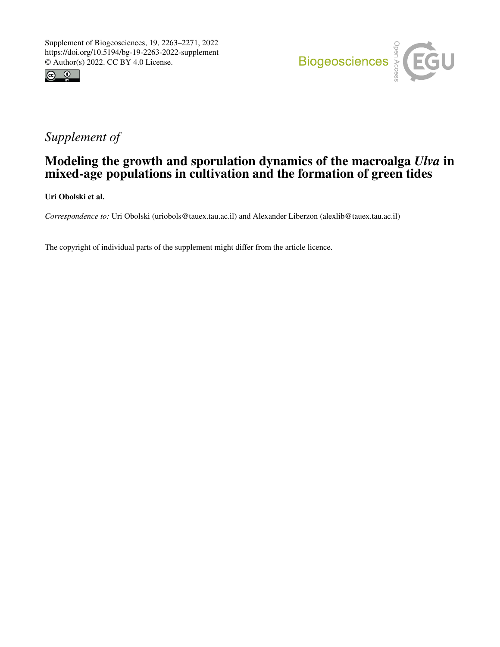



# *Supplement of*

## Modeling the growth and sporulation dynamics of the macroalga *Ulva* in mixed-age populations in cultivation and the formation of green tides

Uri Obolski et al.

*Correspondence to:* Uri Obolski (uriobols@tauex.tau.ac.il) and Alexander Liberzon (alexlib@tauex.tau.ac.il)

The copyright of individual parts of the supplement might differ from the article licence.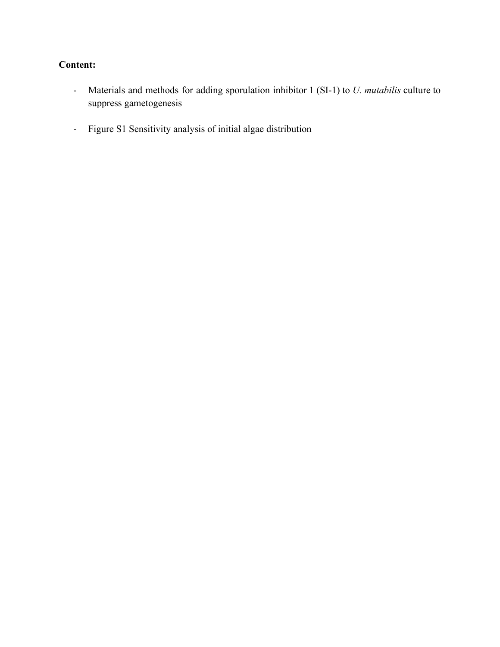## **Content:**

- Materials and methods for adding sporulation inhibitor 1 (SI-1) to *U. mutabilis* culture to suppress gametogenesis
- Figure S1 Sensitivity analysis of initial algae distribution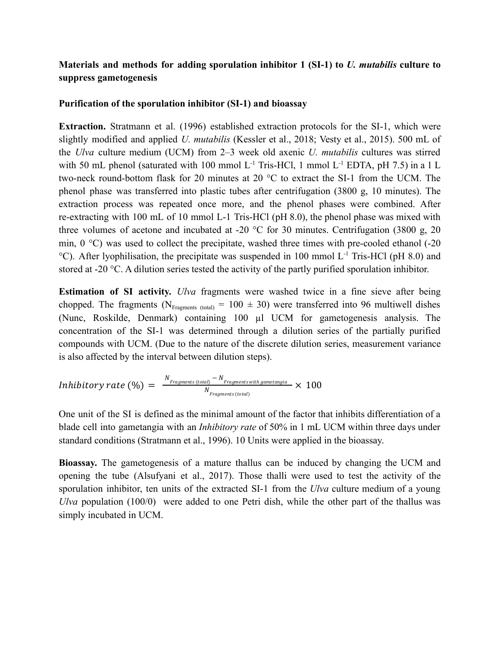### **Materials and methods for adding sporulation inhibitor 1 (SI-1) to** *U. mutabilis* **culture to suppress gametogenesis**

### **Purification of the sporulation inhibitor (SI-1) and bioassay**

**Extraction.** Stratmann et al. (1996) established extraction protocols for the SI-1, which were slightly modified and applied *U. mutabilis* [\(Kessler](https://www.zotero.org/google-docs/?Jg2VOm) et al., 2018; Vesty et al., 2015). 500 mL of the *Ulva* culture medium (UCM) from 2–3 week old axenic *U. mutabilis* cultures was stirred with 50 mL phenol (saturated with 100 mmol  $L^{-1}$  Tris-HCl, 1 mmol  $L^{-1}$  EDTA, pH 7.5) in a 1 L two-neck round-bottom flask for 20 minutes at 20 °C to extract the SI-1 from the UCM. The phenol phase was transferred into plastic tubes after centrifugation (3800 g, 10 minutes). The extraction process was repeated once more, and the phenol phases were combined. After re-extracting with 100 mL of 10 mmol L-1 Tris-HCl (pH 8.0), the phenol phase was mixed with three volumes of acetone and incubated at -20  $^{\circ}$ C for 30 minutes. Centrifugation (3800 g, 20 min,  $0^{\circ}$ C) was used to collect the precipitate, washed three times with pre-cooled ethanol (-20) <sup>o</sup>C). After lyophilisation, the precipitate was suspended in 100 mmol L<sup>-1</sup> Tris-HCl (pH 8.0) and stored at -20 °C. A dilution series tested the activity of the partly purified sporulation inhibitor.

**Estimation of SI activity.** *Ulva* fragments were washed twice in a fine sieve after being chopped. The fragments (N<sub>Fragments (total)</sub> = 100  $\pm$  30) were transferred into 96 multiwell dishes (Nunc, Roskilde, Denmark) containing 100 µl UCM for gametogenesis analysis. The concentration of the SI-1 was determined through a dilution series of the partially purified compounds with UCM. (Due to the nature of the discrete dilution series, measurement variance is also affected by the interval between dilution steps).

$$
Inhibitory\ rate\ (\%)\ =\ \frac{N_{Fragments\ (total)}-N_{Fragments\ with\ gametangia}}{N_{Fragments\ (total)}}\times\ 100
$$

One unit of the SI is defined as the minimal amount of the factor that inhibits differentiation of a blade cell into gametangia with an *Inhibitory rate* of 50% in 1 mL UCM within three days under standard conditions [\(Stratmann et al., 1996\)](https://www.zotero.org/google-docs/?EX5j5i). 10 Units were applied in the bioassay.

**Bioassay.** The gametogenesis of a mature thallus can be induced by changing the UCM and opening the tube [\(Alsufyani](https://www.zotero.org/google-docs/?EVHkcO) et al., 2017). Those thalli were used to test the activity of the sporulation inhibitor, ten units of the extracted SI-1 from the *Ulva* culture medium of a young *Ulva* population (100/0) were added to one Petri dish, while the other part of the thallus was simply incubated in UCM.